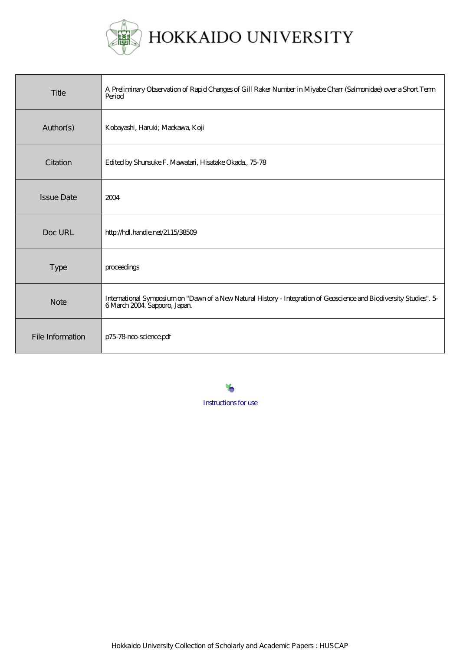

| Title             | A Preliminary Observation of Rapid Changes of Gill Raker Number in Miyabe Charr (Salmonidae) over a Short Term<br>Period                           |
|-------------------|----------------------------------------------------------------------------------------------------------------------------------------------------|
| Author(s)         | Kobayashi, Haruki; Maekawa, Koji                                                                                                                   |
| Citation          | Edited by Shunsuke F. Mawatari, Hisatake Okada, 7578                                                                                               |
| <b>Issue Date</b> | 2004                                                                                                                                               |
| Doc URL           | http://hdl.handle.net/2115/38509                                                                                                                   |
| Type              | proceedings                                                                                                                                        |
| <b>Note</b>       | International Symposium on "Dawn of a New Natural History - Integration of Geoscience and Biodiversity Studies". 5-<br>6 March 2004 Sapporo, Japan |
| File Information  | p7578 neo-science pdf                                                                                                                              |

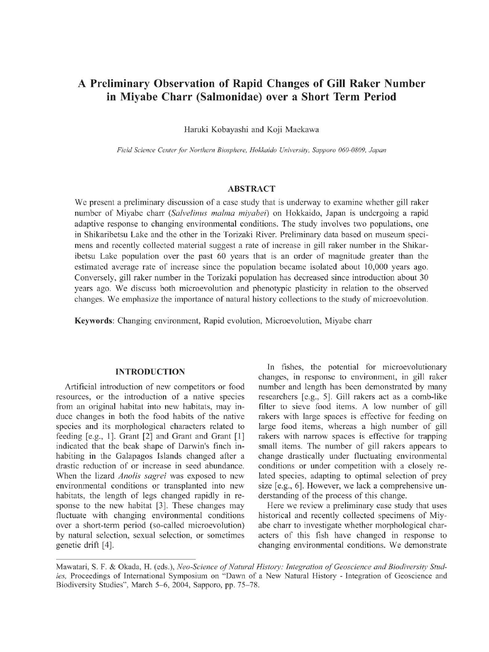# A Preliminary Observation of Rapid Changes of Gill Raker Numb in Miyabe Charr (Salmonidae) over a Short Term Peri

Haruki Kobayashi and Koji Maekawa

Field Science Center for Northern Biosphere, Hokkaido University, Sapporo 060-0809, Japan

## ABSTRACT

We present a preliminary discussion of a case study that is underway to examine whether gill raker number of Miyabe charr (Salvelinus malma miyabei) on Hokkaido, Japan is undergoing a rapid adaptive response to changing environmental conditions. The study involves two populations, one in Shikaribetsu Lake and the other in the Torizaki River. Preliminary data based on museum specimens and recently collected material suggest a rate of increase in gill raker number in the Shikaribetsu Lake population over the past 60 years that is an order of magnitude greater than the estimated average rate of increase since the population became isolated about 10,000 years ago. Conversely, gill raker number in the Torizaki population has decreased since introduction about 30 years ago. We discuss both microevolution and phenotypic plasticity in relation to the observed changes. We emphasize the importance of natural history collections to the study of microevolution.

Keywords: Changing environment, Rapid evolution, Microevolution, Miyabe charr

#### INTRODUCTION

Artificial introduction of new competitors or food resources, or the introduction of a native species from an original habitat into new habitats, may induce changes in both the food habits of the native species and its morphological characters related to feeding [e.g., 1]. Grant [2] and Grant and Grant [1] indicated that the beak shape of Darwin's finch inhabiting in the Galapagos Islands changed after a drastic reduction of or increase in seed abundance. When the lizard *Anolis sagrei* was exposed to new environmental conditions or transplanted into new habitats, the length of legs changed rapidly in response to the new habitat [3]. These changes may fluctuate with changing environmental conditions over a short-term period (so-called microevolution) by natural selection, sexual selection, or sometimes genetic drift [4].

In fishes, the potential for microevolutionary changes, in response to environment, in gill raker number and length has been demonstrated by many researchers [e.g., 5]. Gill rakers act as a comb-like filter to sieve food items. A low number of gill rakers with large spaces is effective for feeding on large food items, whereas a high number of gill rakers with narrow spaces is effective for trapping small items. The number of gill rakers appears to change drastically under fluctuating environmental conditions or under competition with a closely related species, adapting to optimal selection of prey size [e.g., 6]. However, we lack a comprehensive understanding of the process of this change.

Here we review a preliminary case study that uses historical and recently collected specimens of Miyabe charr to investigate whether morphological characters of this fish have changed in response to changing environmental conditions. We demonstrate

Mawatari, S. F. & Okada, H. (eds.), Neo-Science of Natural History: Integration of Geoscience and Biodiversity Studies, Proceedings of International Symposium on "Dawn of a New Natural History - Integration of Geoscience and Biodiversity Studies", March 5-6, 2004, Sapporo, pp. 75-78.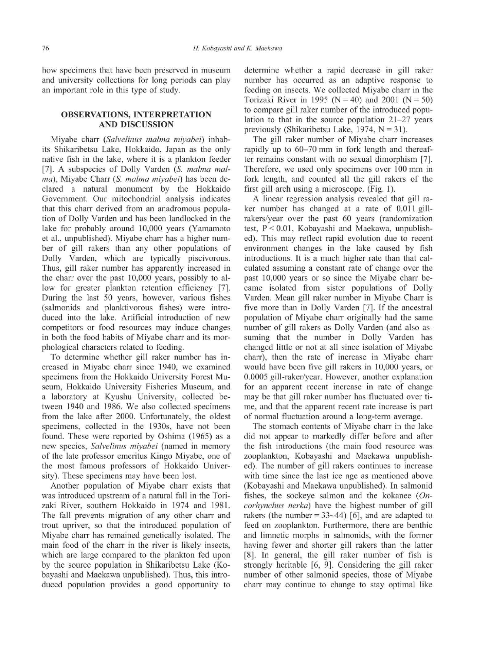how specimens that have been preserved in museum and university collections for long periods can play an important role in this type of study.

## OBSERVATIONS, INTERPRETATION AND DISCUSSION

Miyabe charr (Salvelinus malma miyabei) inhabits Shikaribetsu Lake, Hokkaido, Japan as the only native fish in the lake, where it is a plankton feeder [7]. A subspecies of Dolly Varden (S. malma malma), Miyabe Charr (S. malma miyabei) has been declared a natural monument by the Hokkaido Government. Our mitochondrial analysis indicates that this charr derived from an anadromous population of Dolly Varden and has been landlocked in the lake for probably around 10,000 years (Yamamoto et al., unpublished). Mivabe charr has a higher number of gill rakers than any other populations of Dolly Varden, which are typically piscivorous. Thus, gill raker number has apparently increased in the charr over the past 10,000 years, possibly to allow for greater plankton retention efficiency [7]. During the last 50 years, however, various fishes (salmonids and planktivorous fishes) were introduced into the lake. Artificial introduction of new competitors or food resources may induce changes in both the food habits of Miyabe charr and its morphological characters related to feeding.

To determine whether gill raker number has increased in Miyabe charr since 1940, we examined specimens from the Hokkaido University Forest Museum, Hokkaido University Fisheries Museum, and a laboratory at Kyushu University, collected between 1940 and 1986. We also collected specimens from the lake after 2000. Unfortunately, the oldest specimens, collected in the 1930s, have not been found. These were reported by Oshima (1965) as a new species, Salvelinus miyabei (named in memory of the late professor emeritus Kingo Miyabe, one of the most famous professors of Hokkaido University). These specimens may have been lost.

Another population of Miyabe charr exists that was introduced upstream of a natural fall in the Torizaki River, southern Hokkaido in 1974 and 1981. The fall prevents migration of any other charr and trout upriver, so that the introduced population of Miyabe charr has remained genetically isolated. The main food of the charr in the river is likely insects, which are large compared to the plankton fed upon by the source population in Shikaribetsu Lake (Kobayashi and Maekawa unpublished). Thus, this introduced population provides a good opportunity to

determine whether a rapid decrease in gill raker number has occurred as an adaptive response to feeding on insects. We collected Miyabe charr in the Torizaki River in 1995 ( $N = 40$ ) and 2001 ( $N = 50$ ) to compare gill raker number of the introduced population to that in the source population 21-27 years previously (Shikaribetsu Lake, 1974,  $N = 31$ ).

The gill raker number of Miyabe charr increases rapidly up to 60-70 mm in fork length and thereafter remains constant with no sexual dimorphism [7]. Therefore, we used only specimens over 100 mm in fork length, and counted all the gill rakers of the first gill arch using a microscope. (Fig. 1).

A linear regression analysis revealed that gill raker number has changed at a rate of 0.011 gillrakers/year over the past 60 years (randomization test, P < 0.01, Kobayashi and Maekawa, unpublished). This may reflect rapid evolution due to recent environment changes in the lake caused by fish introductions. It is a much higher rate than that calculated assuming a constant rate of change over the past 10,000 years or so since the Miyabe charr became isolated from sister populations of Dolly Varden. Mean gill raker number in Miyabe Charr is five more than in Dolly Varden [7]. If the ancestral population of Miyabe charr originally had the same number of gill rakers as Dolly Varden (and also assuming that the number in Dolly Varden has changed little or not at all since isolation of Miyabe charr), then the rate of increase in Miyabe charr would have been five gill rakers in 10,000 years, or 0.0005 gill-raker/year. However, another explanation for an apparent recent increase in rate of change may be that gill raker number has fluctuated over time, and that the apparent recent rate increase is part of normal fluctuation around a long-term average.

The stomach contents of Miyabe charr in the lake did not appear to markedly differ before and after the fish introductions (the main food resource was zooplankton, Kobayashi and Maekawa unpublished). The number of gill rakers continues to increase with time since the last ice age as mentioned above (Kobayashi and Maekawa unpublished). In salmonid fishes, the sockeye salmon and the kokanee  $(On$ corhynchus nerka) have the highest number of gill rakers (the number  $= 33 - 44$ ) [6], and are adapted to feed on zooplankton. Furthermore, there are benthic and limnetic morphs in salmonids, with the former having fewer and shorter gill rakers than the latter [8]. In general, the gill raker number of fish is strongly heritable [6, 9]. Considering the gill raker number of other salmonid species, those of Miyabe charr may continue to change to stay optimal like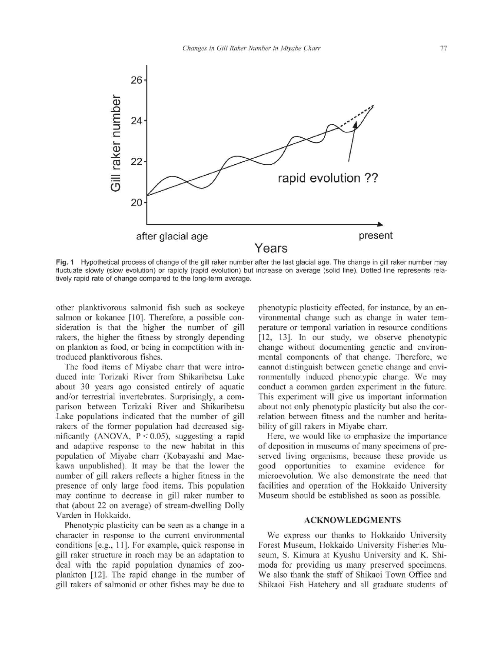

Fig. 1 Hypothetical process of change of the gill raker number after the last glacial age. The change in gill raker number may fluctuate slowly (slow evolution) or rapidly (rapid evolution) but increase on average (solid line). Dotted line represents relatively rapid rate of change compared to the long-term average.

other planktivorous salmonid fish such as sockeye salmon or kokanee [10]. Therefore, a possible consideration is that the higher the number of gill rakers, the higher the fitness by strongly depending on plankton as food, or being in competition with introduced planktivorous fishes.

The food items of Miyabe charr that were introduced into Torizaki River from Shikaribetsu Lake about 30 years ago consisted entirely of aquatic and/or terrestrial invertebrates. Surprisingly, a comparison between Torizaki River and Shikaribetsu Lake populations indicated that the number of gill rakers of the former population had decreased significantly (ANOVA,  $P < 0.05$ ), suggesting a rapid and adaptive response to the new habitat in this population of Miyabe charr (Kobayashi and Maekawa unpublished). It may be that the lower the number of gill rakers reflects a higher fitness in the presence of only large food items. This population may continue to decrease in gill raker number to that (about 22 on average) of stream-dwelling Dolly Varden in Hokkaido.

Phenotypic plasticity can be seen as a change in a character in response to the current environmental conditions [e.g., 11]. For example, quick response in gill raker structure in roach may be an adaptation to deal with the rapid population dynamics of zooplankton [12]. The rapid change in the number of gill rakers of salmonid or other fishes may be due to

phenotypic plasticity effected, for instance, by an environmental change such as change in water temperature or temporal variation in resource conditions [12, 13]. In our study, we observe phenotypic change without documenting genetic and environmental components of that change. Therefore, we cannot distinguish between genetic change and environmentally induced phenotypic change. We may conduct a common garden experiment in the future. This experiment will give us important information about not only phenotypic plasticity but also the correlation between fitness and the number and heritability of gill rakers in Miyabe charr.

Here, we would like to emphasize the importance of deposition in museums of many specimens of preserved living organisms, because these provide us good opportunities to examine evidence for microevolution. We also demonstrate the need that facilities and operation of the Hokkaido University Museum should be established as soon as possible.

### ACKNOWLEDGMENTS

We express our thanks to Hokkaido University Forest Museum, Hokkaido University Fisheries Museum, S. Kimura at Kyushu University and K. Shimoda for providing us many preserved specimens. We also thank the staff of Shikaoi Town Office and Shikaoi Fish Hatchery and all graduate students of